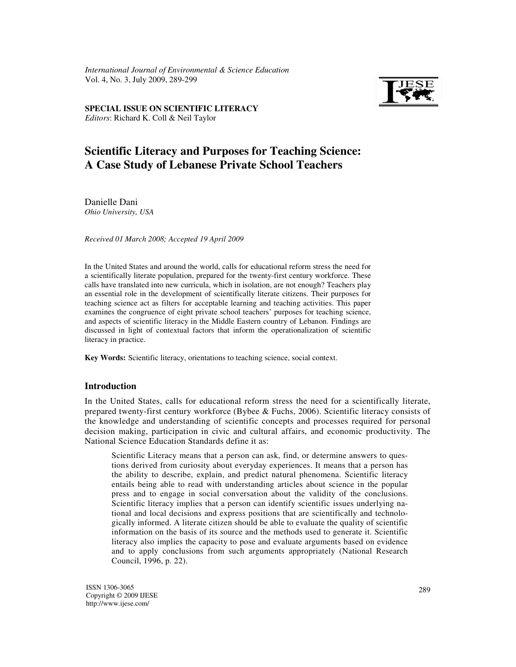*Scientific Literacy and Purposes for Teaching Science and Purposes for Teaching Science and Purposes for Teaching Science and Purposes*  $\overline{S}$ *International Journal of Environmental & Science Education*  Vol. 4, No. 3, July 2009, 289-299



Editors: Richard K. Coll & Neil Taylor **SPECIAL ISSUE ON SCIENTIFIC LITERACY** 

# **Scientific Literacy and Purposes for Teaching Science: A Case Study of Lebanese Private School Teachers**

Danielle Dani *Ohio University, USA* 

*Received 01 March 2008; Accepted 19 April 2009* 

In the United States and around the world, calls for educational reform stress the need for a scientifically literate population, prepared for the twenty-first century workforce. These calls have translated into new curricula, which in isolation, are not enough? Teachers play an essential role in the development of scientifically literate citizens. Their purposes for teaching science act as filters for acceptable learning and teaching activities. This paper examines the congruence of eight private school teachers' purposes for teaching science, and aspects of scientific literacy in the Middle Eastern country of Lebanon. Findings are discussed in light of contextual factors that inform the operationalization of scientific literacy in practice.

**Key Words:** Scientific literacy, orientations to teaching science, social context.

#### **Introduction**

In the United States, calls for educational reform stress the need for a scientifically literate, prepared twenty-first century workforce (Bybee & Fuchs, 2006). Scientific literacy consists of the knowledge and understanding of scientific concepts and processes required for personal decision making, participation in civic and cultural affairs, and economic productivity. The National Science Education Standards define it as:

Scientific Literacy means that a person can ask, find, or determine answers to questions derived from curiosity about everyday experiences. It means that a person has the ability to describe, explain, and predict natural phenomena. Scientific literacy entails being able to read with understanding articles about science in the popular press and to engage in social conversation about the validity of the conclusions. Scientific literacy implies that a person can identify scientific issues underlying national and local decisions and express positions that are scientifically and technologically informed. A literate citizen should be able to evaluate the quality of scientific information on the basis of its source and the methods used to generate it. Scientific literacy also implies the capacity to pose and evaluate arguments based on evidence and to apply conclusions from such arguments appropriately (National Research Council, 1996, p. 22).

ISSN 1306-3065 Copyright © 2009 IJESE http://www.ijese.com/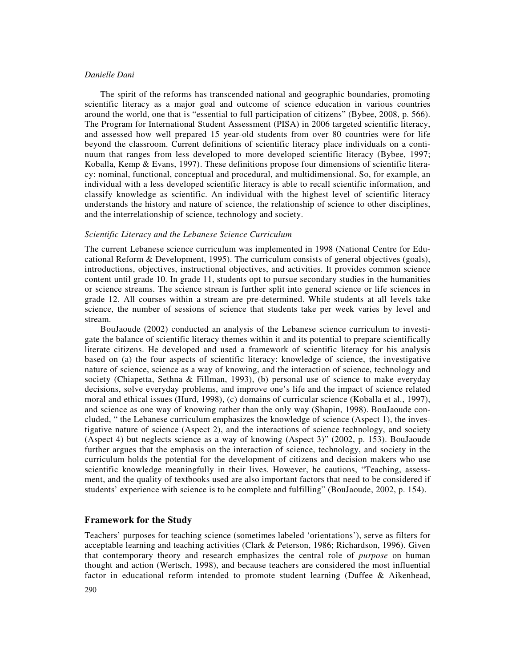The spirit of the reforms has transcended national and geographic boundaries, promoting scientific literacy as a major goal and outcome of science education in various countries around the world, one that is "essential to full participation of citizens" (Bybee, 2008, p. 566). The Program for International Student Assessment (PISA) in 2006 targeted scientific literacy, and assessed how well prepared 15 year-old students from over 80 countries were for life beyond the classroom. Current definitions of scientific literacy place individuals on a continuum that ranges from less developed to more developed scientific literacy (Bybee, 1997; Koballa, Kemp & Evans, 1997). These definitions propose four dimensions of scientific literacy: nominal, functional, conceptual and procedural, and multidimensional. So, for example, an individual with a less developed scientific literacy is able to recall scientific information, and classify knowledge as scientific. An individual with the highest level of scientific literacy understands the history and nature of science, the relationship of science to other disciplines, and the interrelationship of science, technology and society.

## *Scientific Literacy and the Lebanese Science Curriculum*

The current Lebanese science curriculum was implemented in 1998 (National Centre for Educational Reform & Development, 1995). The curriculum consists of general objectives (goals), introductions, objectives, instructional objectives, and activities. It provides common science content until grade 10. In grade 11, students opt to pursue secondary studies in the humanities or science streams. The science stream is further split into general science or life sciences in grade 12. All courses within a stream are pre-determined. While students at all levels take science, the number of sessions of science that students take per week varies by level and stream.

BouJaoude (2002) conducted an analysis of the Lebanese science curriculum to investigate the balance of scientific literacy themes within it and its potential to prepare scientifically literate citizens. He developed and used a framework of scientific literacy for his analysis based on (a) the four aspects of scientific literacy: knowledge of science, the investigative nature of science, science as a way of knowing, and the interaction of science, technology and society (Chiapetta, Sethna & Fillman, 1993), (b) personal use of science to make everyday decisions, solve everyday problems, and improve one's life and the impact of science related moral and ethical issues (Hurd, 1998), (c) domains of curricular science (Koballa et al., 1997), and science as one way of knowing rather than the only way (Shapin, 1998). BouJaoude concluded, " the Lebanese curriculum emphasizes the knowledge of science (Aspect 1), the investigative nature of science (Aspect 2), and the interactions of science technology, and society (Aspect 4) but neglects science as a way of knowing (Aspect 3)" (2002, p. 153). BouJaoude further argues that the emphasis on the interaction of science, technology, and society in the curriculum holds the potential for the development of citizens and decision makers who use scientific knowledge meaningfully in their lives. However, he cautions, "Teaching, assessment, and the quality of textbooks used are also important factors that need to be considered if students' experience with science is to be complete and fulfilling" (BouJaoude, 2002, p. 154).

## **Framework for the Study**

Teachers' purposes for teaching science (sometimes labeled 'orientations'), serve as filters for acceptable learning and teaching activities (Clark & Peterson, 1986; Richardson, 1996). Given that contemporary theory and research emphasizes the central role of *purpose* on human thought and action (Wertsch, 1998), and because teachers are considered the most influential factor in educational reform intended to promote student learning (Duffee & Aikenhead,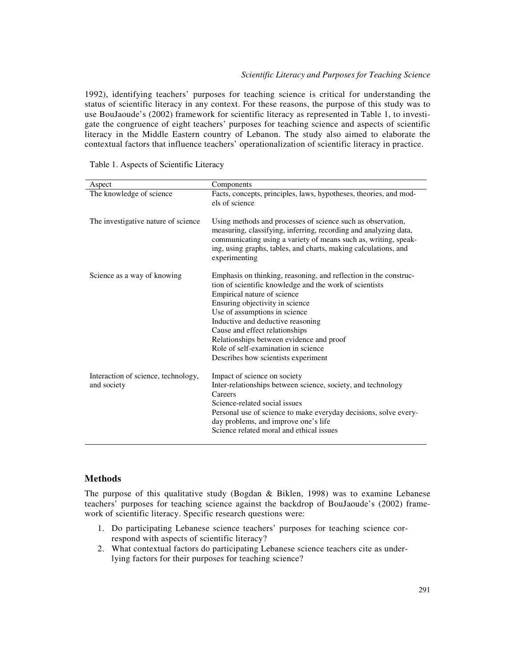1992), identifying teachers' purposes for teaching science is critical for understanding the status of scientific literacy in any context. For these reasons, the purpose of this study was to use BouJaoude's (2002) framework for scientific literacy as represented in Table 1, to investigate the congruence of eight teachers' purposes for teaching science and aspects of scientific literacy in the Middle Eastern country of Lebanon. The study also aimed to elaborate the contextual factors that influence teachers' operationalization of scientific literacy in practice.

|  | Table 1. Aspects of Scientific Literacy |
|--|-----------------------------------------|
|--|-----------------------------------------|

| Aspect                                             | Components                                                                                                                                                                                                                                                                                                                                                                                                                      |
|----------------------------------------------------|---------------------------------------------------------------------------------------------------------------------------------------------------------------------------------------------------------------------------------------------------------------------------------------------------------------------------------------------------------------------------------------------------------------------------------|
| The knowledge of science                           | Facts, concepts, principles, laws, hypotheses, theories, and mod-<br>els of science                                                                                                                                                                                                                                                                                                                                             |
| The investigative nature of science                | Using methods and processes of science such as observation,<br>measuring, classifying, inferring, recording and analyzing data,<br>communicating using a variety of means such as, writing, speak-<br>ing, using graphs, tables, and charts, making calculations, and<br>experimenting                                                                                                                                          |
| Science as a way of knowing                        | Emphasis on thinking, reasoning, and reflection in the construc-<br>tion of scientific knowledge and the work of scientists<br>Empirical nature of science<br>Ensuring objectivity in science<br>Use of assumptions in science<br>Inductive and deductive reasoning<br>Cause and effect relationships<br>Relationships between evidence and proof<br>Role of self-examination in science<br>Describes how scientists experiment |
| Interaction of science, technology,<br>and society | Impact of science on society<br>Inter-relationships between science, society, and technology<br>Careers<br>Science-related social issues<br>Personal use of science to make everyday decisions, solve every-<br>day problems, and improve one's life<br>Science related moral and ethical issues                                                                                                                                |

## **Methods**

The purpose of this qualitative study (Bogdan & Biklen, 1998) was to examine Lebanese teachers' purposes for teaching science against the backdrop of BouJaoude's (2002) framework of scientific literacy. Specific research questions were:

- 1. Do participating Lebanese science teachers' purposes for teaching science correspond with aspects of scientific literacy?
- 2. What contextual factors do participating Lebanese science teachers cite as underlying factors for their purposes for teaching science?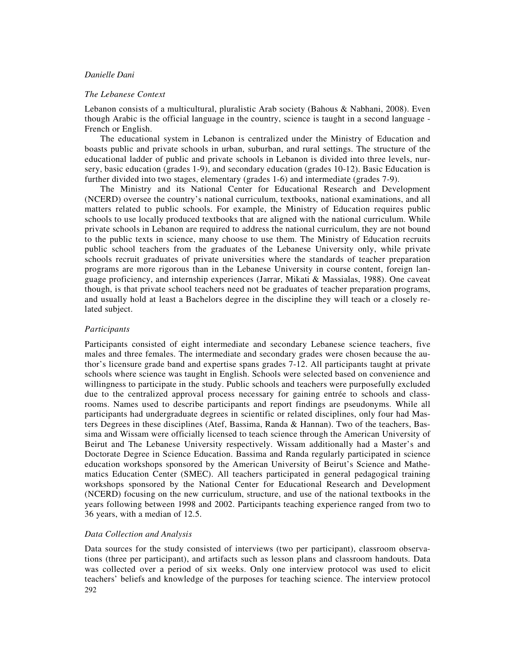#### *The Lebanese Context*

Lebanon consists of a multicultural, pluralistic Arab society (Bahous & Nabhani, 2008). Even though Arabic is the official language in the country, science is taught in a second language - French or English.

The educational system in Lebanon is centralized under the Ministry of Education and boasts public and private schools in urban, suburban, and rural settings. The structure of the educational ladder of public and private schools in Lebanon is divided into three levels, nursery, basic education (grades 1-9), and secondary education (grades 10-12). Basic Education is further divided into two stages, elementary (grades 1-6) and intermediate (grades 7-9).

The Ministry and its National Center for Educational Research and Development (NCERD) oversee the country's national curriculum, textbooks, national examinations, and all matters related to public schools. For example, the Ministry of Education requires public schools to use locally produced textbooks that are aligned with the national curriculum. While private schools in Lebanon are required to address the national curriculum, they are not bound to the public texts in science, many choose to use them. The Ministry of Education recruits public school teachers from the graduates of the Lebanese University only, while private schools recruit graduates of private universities where the standards of teacher preparation programs are more rigorous than in the Lebanese University in course content, foreign language proficiency, and internship experiences (Jarrar, Mikati & Massialas, 1988). One caveat though, is that private school teachers need not be graduates of teacher preparation programs, and usually hold at least a Bachelors degree in the discipline they will teach or a closely related subject.

## *Participants*

Participants consisted of eight intermediate and secondary Lebanese science teachers, five males and three females. The intermediate and secondary grades were chosen because the author's licensure grade band and expertise spans grades 7-12. All participants taught at private schools where science was taught in English. Schools were selected based on convenience and willingness to participate in the study. Public schools and teachers were purposefully excluded due to the centralized approval process necessary for gaining entrée to schools and classrooms. Names used to describe participants and report findings are pseudonyms. While all participants had undergraduate degrees in scientific or related disciplines, only four had Masters Degrees in these disciplines (Atef, Bassima, Randa & Hannan). Two of the teachers, Bassima and Wissam were officially licensed to teach science through the American University of Beirut and The Lebanese University respectively. Wissam additionally had a Master's and Doctorate Degree in Science Education. Bassima and Randa regularly participated in science education workshops sponsored by the American University of Beirut's Science and Mathematics Education Center (SMEC). All teachers participated in general pedagogical training workshops sponsored by the National Center for Educational Research and Development (NCERD) focusing on the new curriculum, structure, and use of the national textbooks in the years following between 1998 and 2002. Participants teaching experience ranged from two to 36 years, with a median of 12.5.

## *Data Collection and Analysis*

292 Data sources for the study consisted of interviews (two per participant), classroom observations (three per participant), and artifacts such as lesson plans and classroom handouts. Data was collected over a period of six weeks. Only one interview protocol was used to elicit teachers' beliefs and knowledge of the purposes for teaching science. The interview protocol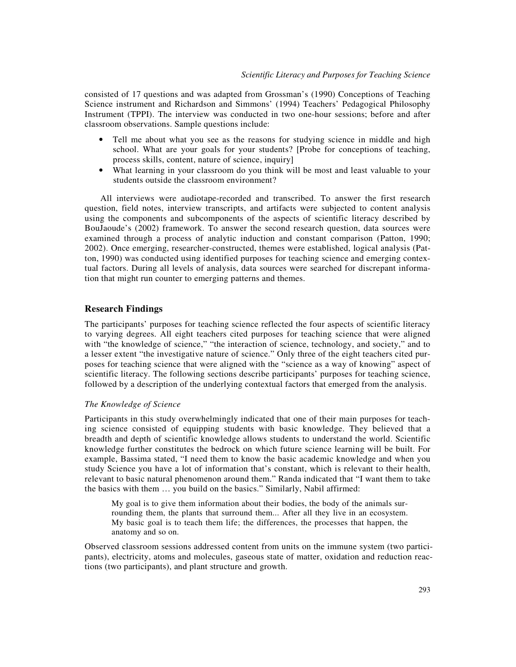consisted of 17 questions and was adapted from Grossman's (1990) Conceptions of Teaching Science instrument and Richardson and Simmons' (1994) Teachers' Pedagogical Philosophy Instrument (TPPI). The interview was conducted in two one-hour sessions; before and after classroom observations. Sample questions include:

- Tell me about what you see as the reasons for studying science in middle and high school. What are your goals for your students? [Probe for conceptions of teaching, process skills, content, nature of science, inquiry]
- What learning in your classroom do you think will be most and least valuable to your students outside the classroom environment?

All interviews were audiotape-recorded and transcribed. To answer the first research question, field notes, interview transcripts, and artifacts were subjected to content analysis using the components and subcomponents of the aspects of scientific literacy described by BouJaoude's (2002) framework. To answer the second research question, data sources were examined through a process of analytic induction and constant comparison (Patton, 1990; 2002). Once emerging, researcher-constructed, themes were established, logical analysis (Patton, 1990) was conducted using identified purposes for teaching science and emerging contextual factors. During all levels of analysis, data sources were searched for discrepant information that might run counter to emerging patterns and themes.

#### **Research Findings**

The participants' purposes for teaching science reflected the four aspects of scientific literacy to varying degrees. All eight teachers cited purposes for teaching science that were aligned with "the knowledge of science," "the interaction of science, technology, and society," and to a lesser extent "the investigative nature of science." Only three of the eight teachers cited purposes for teaching science that were aligned with the "science as a way of knowing" aspect of scientific literacy. The following sections describe participants' purposes for teaching science, followed by a description of the underlying contextual factors that emerged from the analysis.

#### *The Knowledge of Science*

Participants in this study overwhelmingly indicated that one of their main purposes for teaching science consisted of equipping students with basic knowledge. They believed that a breadth and depth of scientific knowledge allows students to understand the world. Scientific knowledge further constitutes the bedrock on which future science learning will be built. For example, Bassima stated, "I need them to know the basic academic knowledge and when you study Science you have a lot of information that's constant, which is relevant to their health, relevant to basic natural phenomenon around them." Randa indicated that "I want them to take the basics with them … you build on the basics." Similarly, Nabil affirmed:

My goal is to give them information about their bodies, the body of the animals surrounding them, the plants that surround them... After all they live in an ecosystem. My basic goal is to teach them life; the differences, the processes that happen, the anatomy and so on.

Observed classroom sessions addressed content from units on the immune system (two participants), electricity, atoms and molecules, gaseous state of matter, oxidation and reduction reactions (two participants), and plant structure and growth.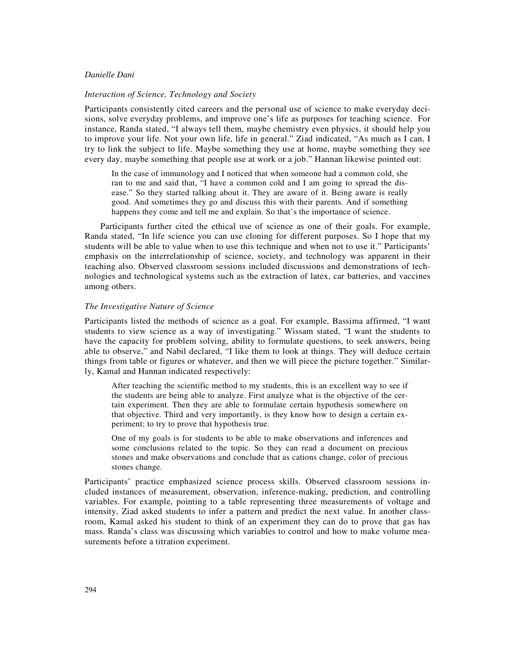#### *Interaction of Science, Technology and Society*

Participants consistently cited careers and the personal use of science to make everyday decisions, solve everyday problems, and improve one's life as purposes for teaching science. For instance, Randa stated, "I always tell them, maybe chemistry even physics, it should help you to improve your life. Not your own life, life in general." Ziad indicated, "As much as I can, I try to link the subject to life. Maybe something they use at home, maybe something they see every day, maybe something that people use at work or a job." Hannan likewise pointed out:

In the case of immunology and I noticed that when someone had a common cold, she ran to me and said that, "I have a common cold and I am going to spread the disease." So they started talking about it. They are aware of it. Being aware is really good. And sometimes they go and discuss this with their parents. And if something happens they come and tell me and explain. So that's the importance of science.

Participants further cited the ethical use of science as one of their goals. For example, Randa stated, "In life science you can use cloning for different purposes. So I hope that my students will be able to value when to use this technique and when not to use it." Participants' emphasis on the interrelationship of science, society, and technology was apparent in their teaching also. Observed classroom sessions included discussions and demonstrations of technologies and technological systems such as the extraction of latex, car batteries, and vaccines among others.

## *The Investigative Nature of Science*

Participants listed the methods of science as a goal. For example, Bassima affirmed, "I want students to view science as a way of investigating." Wissam stated, "I want the students to have the capacity for problem solving, ability to formulate questions, to seek answers, being able to observe," and Nabil declared, "I like them to look at things. They will deduce certain things from table or figures or whatever, and then we will piece the picture together." Similarly, Kamal and Hannan indicated respectively:

After teaching the scientific method to my students, this is an excellent way to see if the students are being able to analyze. First analyze what is the objective of the certain experiment. Then they are able to formulate certain hypothesis somewhere on that objective. Third and very importantly, is they know how to design a certain experiment; to try to prove that hypothesis true.

One of my goals is for students to be able to make observations and inferences and some conclusions related to the topic. So they can read a document on precious stones and make observations and conclude that as cations change, color of precious stones change.

Participants' practice emphasized science process skills. Observed classroom sessions included instances of measurement, observation, inference-making, prediction, and controlling variables. For example, pointing to a table representing three measurements of voltage and intensity, Ziad asked students to infer a pattern and predict the next value. In another classroom, Kamal asked his student to think of an experiment they can do to prove that gas has mass. Randa's class was discussing which variables to control and how to make volume measurements before a titration experiment.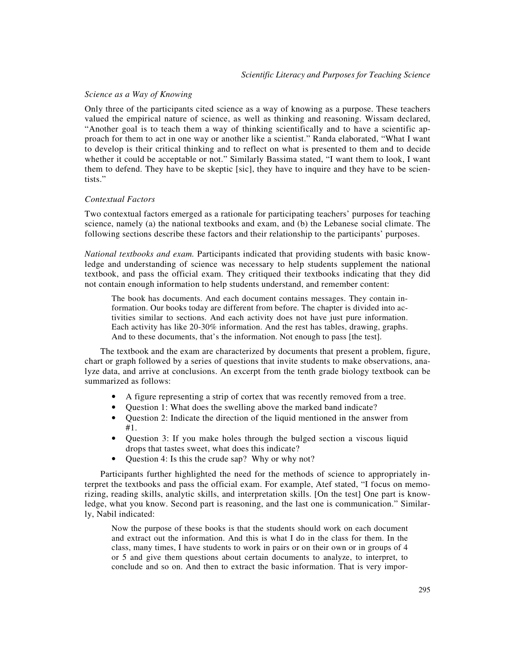## *Science as a Way of Knowing*

Only three of the participants cited science as a way of knowing as a purpose. These teachers valued the empirical nature of science, as well as thinking and reasoning. Wissam declared, "Another goal is to teach them a way of thinking scientifically and to have a scientific approach for them to act in one way or another like a scientist." Randa elaborated, "What I want to develop is their critical thinking and to reflect on what is presented to them and to decide whether it could be acceptable or not." Similarly Bassima stated, "I want them to look, I want them to defend. They have to be skeptic [sic], they have to inquire and they have to be scientists."

## *Contextual Factors*

Two contextual factors emerged as a rationale for participating teachers' purposes for teaching science, namely (a) the national textbooks and exam, and (b) the Lebanese social climate. The following sections describe these factors and their relationship to the participants' purposes.

*National textbooks and exam.* Participants indicated that providing students with basic knowledge and understanding of science was necessary to help students supplement the national textbook, and pass the official exam. They critiqued their textbooks indicating that they did not contain enough information to help students understand, and remember content:

The book has documents. And each document contains messages. They contain information. Our books today are different from before. The chapter is divided into activities similar to sections. And each activity does not have just pure information. Each activity has like 20-30% information. And the rest has tables, drawing, graphs. And to these documents, that's the information. Not enough to pass [the test].

The textbook and the exam are characterized by documents that present a problem, figure, chart or graph followed by a series of questions that invite students to make observations, analyze data, and arrive at conclusions. An excerpt from the tenth grade biology textbook can be summarized as follows:

- A figure representing a strip of cortex that was recently removed from a tree.
- Ouestion 1: What does the swelling above the marked band indicate?
- Question 2: Indicate the direction of the liquid mentioned in the answer from #1.
- Question 3: If you make holes through the bulged section a viscous liquid drops that tastes sweet, what does this indicate?
- Question 4: Is this the crude sap? Why or why not?

Participants further highlighted the need for the methods of science to appropriately interpret the textbooks and pass the official exam. For example, Atef stated, "I focus on memorizing, reading skills, analytic skills, and interpretation skills. [On the test] One part is knowledge, what you know. Second part is reasoning, and the last one is communication." Similarly, Nabil indicated:

Now the purpose of these books is that the students should work on each document and extract out the information. And this is what I do in the class for them. In the class, many times, I have students to work in pairs or on their own or in groups of 4 or 5 and give them questions about certain documents to analyze, to interpret, to conclude and so on. And then to extract the basic information. That is very impor-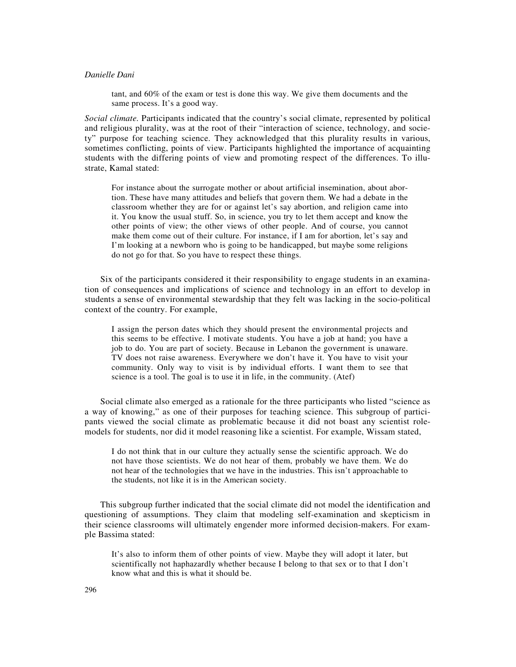tant, and 60% of the exam or test is done this way. We give them documents and the same process. It's a good way.

*Social climate.* Participants indicated that the country's social climate, represented by political and religious plurality, was at the root of their "interaction of science, technology, and society" purpose for teaching science. They acknowledged that this plurality results in various, sometimes conflicting, points of view. Participants highlighted the importance of acquainting students with the differing points of view and promoting respect of the differences. To illustrate, Kamal stated:

For instance about the surrogate mother or about artificial insemination, about abortion. These have many attitudes and beliefs that govern them. We had a debate in the classroom whether they are for or against let's say abortion, and religion came into it. You know the usual stuff. So, in science, you try to let them accept and know the other points of view; the other views of other people. And of course, you cannot make them come out of their culture. For instance, if I am for abortion, let's say and I'm looking at a newborn who is going to be handicapped, but maybe some religions do not go for that. So you have to respect these things.

Six of the participants considered it their responsibility to engage students in an examination of consequences and implications of science and technology in an effort to develop in students a sense of environmental stewardship that they felt was lacking in the socio-political context of the country. For example,

I assign the person dates which they should present the environmental projects and this seems to be effective. I motivate students. You have a job at hand; you have a job to do. You are part of society. Because in Lebanon the government is unaware. TV does not raise awareness. Everywhere we don't have it. You have to visit your community. Only way to visit is by individual efforts. I want them to see that science is a tool. The goal is to use it in life, in the community. (Atef)

Social climate also emerged as a rationale for the three participants who listed "science as a way of knowing," as one of their purposes for teaching science. This subgroup of participants viewed the social climate as problematic because it did not boast any scientist rolemodels for students, nor did it model reasoning like a scientist. For example, Wissam stated,

I do not think that in our culture they actually sense the scientific approach. We do not have those scientists. We do not hear of them, probably we have them. We do not hear of the technologies that we have in the industries. This isn't approachable to the students, not like it is in the American society.

This subgroup further indicated that the social climate did not model the identification and questioning of assumptions. They claim that modeling self-examination and skepticism in their science classrooms will ultimately engender more informed decision-makers. For example Bassima stated:

It's also to inform them of other points of view. Maybe they will adopt it later, but scientifically not haphazardly whether because I belong to that sex or to that I don't know what and this is what it should be.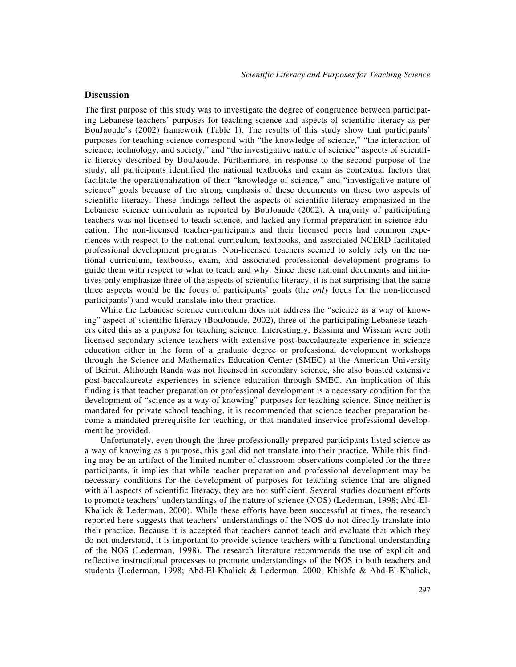## **Discussion**

The first purpose of this study was to investigate the degree of congruence between participating Lebanese teachers' purposes for teaching science and aspects of scientific literacy as per BouJaoude's (2002) framework (Table 1). The results of this study show that participants' purposes for teaching science correspond with "the knowledge of science," "the interaction of science, technology, and society," and "the investigative nature of science" aspects of scientific literacy described by BouJaoude. Furthermore, in response to the second purpose of the study, all participants identified the national textbooks and exam as contextual factors that facilitate the operationalization of their "knowledge of science," and "investigative nature of science" goals because of the strong emphasis of these documents on these two aspects of scientific literacy. These findings reflect the aspects of scientific literacy emphasized in the Lebanese science curriculum as reported by BouJoaude (2002). A majority of participating teachers was not licensed to teach science, and lacked any formal preparation in science education. The non-licensed teacher-participants and their licensed peers had common experiences with respect to the national curriculum, textbooks, and associated NCERD facilitated professional development programs. Non-licensed teachers seemed to solely rely on the national curriculum, textbooks, exam, and associated professional development programs to guide them with respect to what to teach and why. Since these national documents and initiatives only emphasize three of the aspects of scientific literacy, it is not surprising that the same three aspects would be the focus of participants' goals (the *only* focus for the non-licensed participants') and would translate into their practice.

While the Lebanese science curriculum does not address the "science as a way of knowing" aspect of scientific literacy (BouJoaude, 2002), three of the participating Lebanese teachers cited this as a purpose for teaching science. Interestingly, Bassima and Wissam were both licensed secondary science teachers with extensive post-baccalaureate experience in science education either in the form of a graduate degree or professional development workshops through the Science and Mathematics Education Center (SMEC) at the American University of Beirut. Although Randa was not licensed in secondary science, she also boasted extensive post-baccalaureate experiences in science education through SMEC. An implication of this finding is that teacher preparation or professional development is a necessary condition for the development of "science as a way of knowing" purposes for teaching science. Since neither is mandated for private school teaching, it is recommended that science teacher preparation become a mandated prerequisite for teaching, or that mandated inservice professional development be provided.

Unfortunately, even though the three professionally prepared participants listed science as a way of knowing as a purpose, this goal did not translate into their practice. While this finding may be an artifact of the limited number of classroom observations completed for the three participants, it implies that while teacher preparation and professional development may be necessary conditions for the development of purposes for teaching science that are aligned with all aspects of scientific literacy, they are not sufficient. Several studies document efforts to promote teachers' understandings of the nature of science (NOS) (Lederman, 1998; Abd-El-Khalick & Lederman, 2000). While these efforts have been successful at times, the research reported here suggests that teachers' understandings of the NOS do not directly translate into their practice. Because it is accepted that teachers cannot teach and evaluate that which they do not understand, it is important to provide science teachers with a functional understanding of the NOS (Lederman, 1998). The research literature recommends the use of explicit and reflective instructional processes to promote understandings of the NOS in both teachers and students (Lederman, 1998; Abd-El-Khalick & Lederman, 2000; Khishfe & Abd-El-Khalick,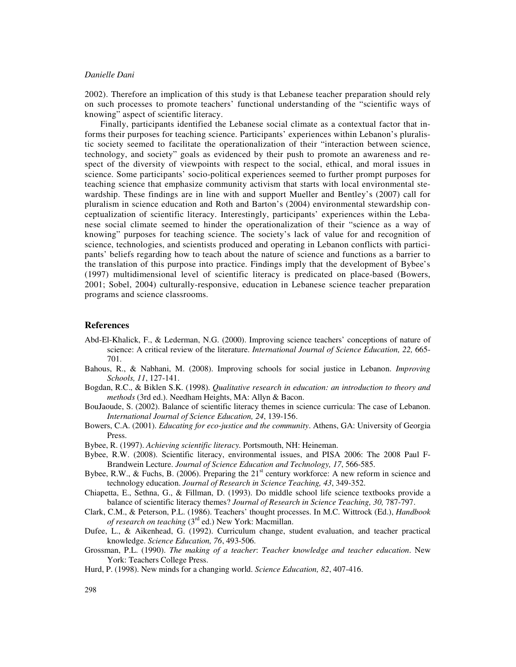2002). Therefore an implication of this study is that Lebanese teacher preparation should rely on such processes to promote teachers' functional understanding of the "scientific ways of knowing" aspect of scientific literacy.

Finally, participants identified the Lebanese social climate as a contextual factor that informs their purposes for teaching science. Participants' experiences within Lebanon's pluralistic society seemed to facilitate the operationalization of their "interaction between science, technology, and society" goals as evidenced by their push to promote an awareness and respect of the diversity of viewpoints with respect to the social, ethical, and moral issues in science. Some participants' socio-political experiences seemed to further prompt purposes for teaching science that emphasize community activism that starts with local environmental stewardship. These findings are in line with and support Mueller and Bentley's (2007) call for pluralism in science education and Roth and Barton's (2004) environmental stewardship conceptualization of scientific literacy. Interestingly, participants' experiences within the Lebanese social climate seemed to hinder the operationalization of their "science as a way of knowing" purposes for teaching science. The society's lack of value for and recognition of science, technologies, and scientists produced and operating in Lebanon conflicts with participants' beliefs regarding how to teach about the nature of science and functions as a barrier to the translation of this purpose into practice. Findings imply that the development of Bybee's (1997) multidimensional level of scientific literacy is predicated on place-based (Bowers, 2001; Sobel, 2004) culturally-responsive, education in Lebanese science teacher preparation programs and science classrooms.

## **References**

- Abd-El-Khalick, F., & Lederman, N.G. (2000). Improving science teachers' conceptions of nature of science: A critical review of the literature. *International Journal of Science Education, 22,* 665- 701.
- Bahous, R., & Nabhani, M. (2008). Improving schools for social justice in Lebanon. *Improving Schools, 11*, 127-141.
- Bogdan, R.C., & Biklen S.K. (1998). *Qualitative research in education: an introduction to theory and methods* (3rd ed.). Needham Heights, MA: Allyn & Bacon.
- BouJaoude, S. (2002). Balance of scientific literacy themes in science curricula: The case of Lebanon. *International Journal of Science Education, 24*, 139-156.
- Bowers, C.A. (2001). *Educating for eco-justice and the community*. Athens, GA: University of Georgia Press.

Bybee, R. (1997). *Achieving scientific literacy.* Portsmouth, NH: Heineman.

- Bybee, R.W. (2008). Scientific literacy, environmental issues, and PISA 2006: The 2008 Paul F-Brandwein Lecture. *Journal of Science Education and Technology, 17*, 566-585.
- Bybee, R.W., & Fuchs, B. (2006). Preparing the  $21<sup>st</sup>$  century workforce: A new reform in science and technology education. *Journal of Research in Science Teaching, 43*, 349-352.
- Chiapetta, E., Sethna, G., & Fillman, D. (1993). Do middle school life science textbooks provide a balance of scientific literacy themes? *Journal of Research in Science Teaching, 30,* 787-797.
- Clark, C.M., & Peterson, P.L. (1986). Teachers' thought processes. In M.C. Wittrock (Ed.), *Handbook of research on teaching* (3<sup>rd</sup> ed.) New York: Macmillan.
- Dufee, L., & Aikenhead, G. (1992). Curriculum change, student evaluation, and teacher practical knowledge. *Science Education, 76*, 493-506.
- Grossman, P.L. (1990). *The making of a teacher*: *Teacher knowledge and teacher education*. New York: Teachers College Press.
- Hurd, P. (1998). New minds for a changing world. *Science Education, 82*, 407-416.